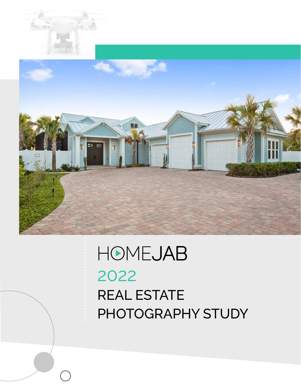

## HOMEJAB 2022 REAL ESTATE PHOTOGRAPHY STUDY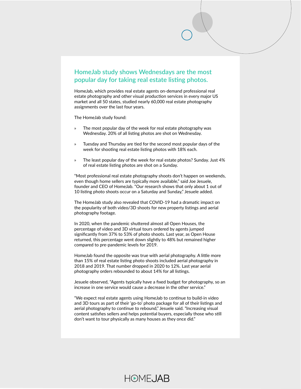#### **HomeJab study shows Wednesdays are the most popular day for taking real estate listing photos.**

HomeJab, which provides real estate agents on-demand professional real estate photography and other visual production services in every major US market and all 50 states, studied nearly 60,000 real estate photography assignments over the last four years.

The HomeJab study found:

- » The most popular day of the week for real estate photography was Wednesday. 20% of all listing photos are shot on Wednesday.
- » Tuesday and Thursday are tied for the second most popular days of the week for shooting real estate listing photos with 18% each.
- » The least popular day of the week for real estate photos? Sunday. Just 4% of real estate listing photos are shot on a Sunday.

"Most professional real estate photography shoots don't happen on weekends, even though home sellers are typically more available," said Joe Jesuele, founder and CEO of HomeJab. "Our research shows that only about 1 out of 10 listing photo shoots occur on a Saturday and Sunday," Jesuele added.

The HomeJab study also revealed that COVID-19 had a dramatic impact on the popularity of both video/3D shoots for new property listings and aerial photography footage.

In 2020, when the pandemic shuttered almost all Open Houses, the percentage of video and 3D virtual tours ordered by agents jumped significantly from 37% to 53% of photo shoots. Last year, as Open House returned, this percentage went down slightly to 48% but remained higher compared to pre-pandemic levels for 2019.

HomeJab found the opposite was true with aerial photography. A little more than 15% of real estate listing photo shoots included aerial photography in 2018 and 2019. That number dropped in 2020 to 12%. Last year aerial photography orders rebounded to about 14% for all listings.

Jesuele observed, "Agents typically have a fixed budget for photography, so an increase in one service would cause a decrease in the other service."

"We expect real estate agents using HomeJab to continue to build-in video and 3D tours as part of their 'go-to' photo package for all of their listings and aerial photography to continue to rebound," Jesuele said. "Increasing visual content satisfies sellers and helps potential buyers, especially those who still don't want to tour physically as many houses as they once did."

### **HOMEJAB**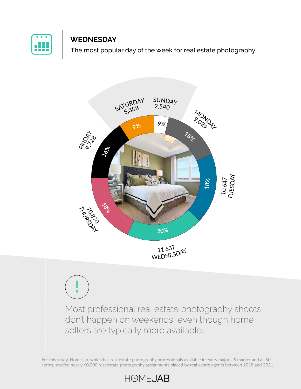

#### **WEDNESDAY**

The most popular day of the week for real estate photography



**!**

Most professional real estate photography shoots don't happen on weekends, even though home sellers are typically more available.

For this study, HomeJab, which has real estate photography professionals available in every major US market and all 50 states, studied nearly 60,000 real estate photography assignments placed by real estate agents between 2018 and 2021.

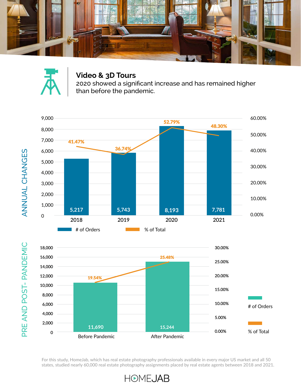



#### **Video & 3D Tours**

2020 showed a significant increase and has remained higher than before the pandemic.





For this study, HomeJab, which has real estate photography professionals available in every major US market and all 50 states, studied nearly 60,000 real estate photography assignments placed by real estate agents between 2018 and 2021.

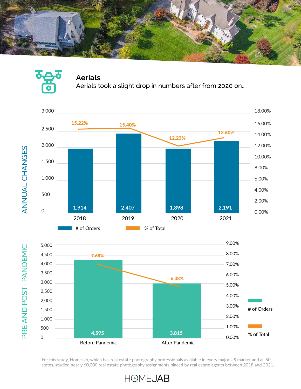

#### **Aerials**

Aerials took a slight drop in numbers after from 2020 on..





For this study, HomeJab, which has real estate photography professionals available in every major US market and all 50 states, studied nearly 60,000 real estate photography assignments placed by real estate agents between 2018 and 2021.